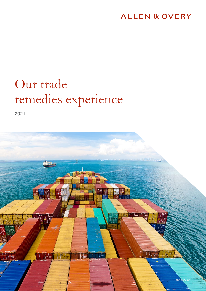### **ALLEN & OVERY**

## Our trade remedies experience

2021

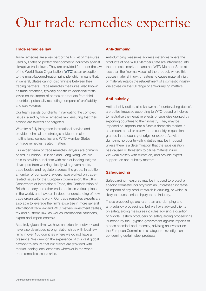## Our trade remedies expertise

#### Trade remedies law

Trade remedies are a key part of the tool kit of measures used by States to protect their domestic industries against disruptive trade flows. They are provided for under the law of the World Trade Organisation (WTO) as an exception to the most-favoured-nation principle which means that, in general, States cannot discriminate between their trading partners. Trade remedies measures, also known as trade defences, typically constitute additional tariffs levied on the import of particular products from third countries, potentially restricting companies' profitability and sale volumes.

Our team assists our clients in navigating the complex issues raised by trade remedies law, ensuring that their actions are tailored and targeted.

We offer a fully integrated international service and provide technical and strategic advice to major multinational companies and WTO Member States on trade remedies related matters.

Our expert team of trade remedies lawyers are primarily based in London, Brussels and Hong Kong. We are able to provide our clients with market leading insights developed from working closely with governments, trade bodies and regulators across the globe. In addition, a number of our expert lawyers have worked on traderelated issues for the European Commission, the UK's Department of International Trade, the Confederation of British Industry and other trade bodies in various places in the world, and have an in-depth understanding of how trade organisations work. Our trade remedies experts are also able to leverage the firm's expertise in more general international trade law and WTO matters, investment treaties, tax and customs law, as well as international sanctions, export and import controls.

As a truly global firm, we have an extensive network and have also developed strong relationships with local law firms in over 100 countries where we do not have a presence. We draw on the experience of this vast global network to ensure that our clients are provided with market leading local expertise wherever in the world trade remedies issues arise.

#### Anti-dumping

Anti-dumping measures address instances where the products of one WTO Member State are introduced into the domestic market of another WTO Member State at less than the "normal value" of the product, where this causes material injury, threatens to cause material injury, or materially retards the establishment of a domestic industry. We advise on the full range of anti-dumping matters.

#### Anti-subsidy

Anti-subsidy duties, also known as "countervailing duties", are duties imposed according to WTO-based principles to neutralise the negative effects of subsidies granted by exporting countries to their industry. They may be imposed on imports into a State's domestic market in an amount equal or below to the subsidy in question granted in the country of origin or export. As with dumping, no countervailing duties may be imposed unless there is a determination that the subsidisation has caused or threatens to cause material injury. We work closely with clients on, and provide expert support, on anti-subsidy matters.

### **Safeguarding**

Safeguarding measures may be imposed to protect a specific domestic industry from an unforeseen increase of imports of any product which is causing, or which is likely to cause, serious injury to the industry.

These proceedings are rarer than anti-dumping and anti-subsidy proceedings, but we have advised clients on safeguarding measures includes advising a coalition of Middle Eastern producers on safeguarding proceedings launched by the Egyptian government against imports of a base chemical and, recently, advising an investor on the European Commission's safeguard investigation concerning certain steel products.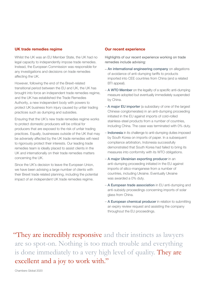#### UK trade remedies regime

Whilst the UK was an EU Member State, the UK had no legal capacity to independently impose trade remedies. Instead, the European Commission was responsible for any investigations and decisions on trade remedies affecting the UK.

However, following the end of the Brexit-related transitional period between the EU and UK, the UK has brought into force an independent trade remedies regime, and the UK has established the Trade Remedies Authority, a new independent body with powers to protect UK business from injury caused by unfair trading practices such as dumping and subsidies.

Ensuring that the UK's new trade remedies regime works to protect domestic producers will be critical for producers that are exposed to the risk of unfair trading practices. Equally, businesses outside of the UK that may be adversely affected by the UK trade remedies will need to rigorously protect their interests. Our leading trade remedies team is ideally placed to assist clients in the UK and internationally on their trade remedies matters concerning the UK.

Since the UK's decision to leave the European Union, we have been advising a large number of clients with their Brexit trade related planning, including the potential impact of an independent UK trade remedies regime.

#### Our recent experience

Highlights of our recent experience working on trade remedies include advising:

- An international engineering company on allegations of avoidance of anti-dumping tariffs to products imported into CEE countries from China (and a related BTI appeal).
- A WTO Member on the legality of a specific anti-dumping measure adopted but eventually immediately suspended by China.
- A major EU importer (a subsidiary of one of the largest Chinese conglomerates) in an anti-dumping proceeding initiated in the EU against imports of cold-rolled stainless-steel products from a number of countries, including China. The case was terminated with 0% duty.
- Indonesia in its challenge to anti-dumping duties imposed by South Korea on imports of paper. In a subsequent compliance arbitration, Indonesia successfully demonstrated that South Korea had failed to bring its measures into conformity with its WTO obligations.
- A major Ukrainian exporting producer in an anti-dumping proceeding initiated in the EU against imports of silico-manganese from a number of countries, including Ukraine. Eventually Ukraine was awarded a 0% duty.
- A European trade association in EU anti-dumping and anti-subsidy proceedings concerning imports of solar glass from China.
- A European chemical producer in relation to submitting an expiry review request and assisting the company throughout the EU proceedings.

"They are incredibly responsive and their instincts as lawyers are so spot-on. Nothing is too much trouble and everything is done immediately to a very high level of quality. They are excellent and a joy to work with."

Chambers Global 2020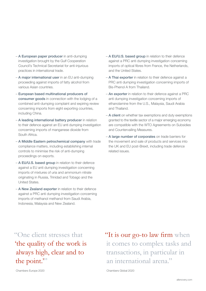- A European paper producer in anti-dumping investigation brought by the Gulf Cooperation Council's Technical Secretariat for anti-injurious practices in international trade.
- A major international user in an EU anti-dumping proceeding against imports of fatty alcohol from various Asian countries.
- European based multinational producers of consumer goods in connection with the lodging of a combined anti-dumping complaint and expiring review concerning imports from eight exporting countries, including China.
- A leading international battery producer in relation to their defence against an EU anti dumping investigation concerning imports of manganese dioxide from South Africa.
- A Middle Eastern petrochemical company with trade compliance matters, including establishing internal controls to minimise the risk of anti-dumping proceedings on exports.
- A EU/U.S. based group in relation to their defence against a EU anti dumping investigation concerning imports of mixtures of uria and ammonium nitrate originating in Russia, Trinidad and Tobago and the United States.
- A New Zealand exporter in relation to their defence against a PRC anti dumping investigation concerning imports of methanol methanol from Saudi Arabia, Indonesia, Malaysia and New Zealand.
- A EU/U.S. based group in relation to their defence against a PRC anti dumping investigation concerning imports of optical fibres from France, the Netherlands, and the United States.
- A Thai exporter in relation to their defence against a PRC anti dumping investigation concerning imports of Bis-Phenol A from Thailand.
- An exporter in relation to their defence against a PRC anti dumping investigation concerning imports of ethanolamine from the U.S., Malaysia, Saudi Arabia and Thailand.
- A client on whether tax exemptions and duty exemptions granted to the textile sector of a major emerging economy are compatible with the WTO Agreements on Subsidies and Countervailing Measures.
- A large number of corporates on trade barriers for the movement and sale of products and services into the UK and EU post-Brexit, including trade defence related issues.

"One client stresses that 'the quality of the work is always high, clear and to the point."

"It is our go-to law firm when it comes to complex tasks and transactions, in particular in an international arena."

Chambers Global 2020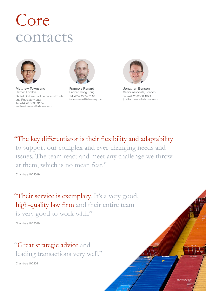# Core contacts



Matthew Townsend Partner, London Global Co-Head of International Trade and Regulatory Law Tel +44 20 3088 3174 matthew.townsend@allenovery.com



Francois Renard Partner, Hong Kong Tel +852 2974 7110 francois.renard@allenovery.com



Jonathan Benson Senior Associate, London Tel +44 20 3088 1321 jonathan.benson@allenovery.com

[allenovery.com](http://www.allenovery.com)

"The key differentiator is their flexibility and adaptability to support our complex and ever-changing needs and issues. The team react and meet any challenge we throw at them, which is no mean feat."

Chambers UK 2019

"Their service is exemplary. It's a very good, high-quality law firm and their entire team is very good to work with."

Chambers UK 2019

### "Great strategic advice and leading transactions very well."

Chambers UK 2021